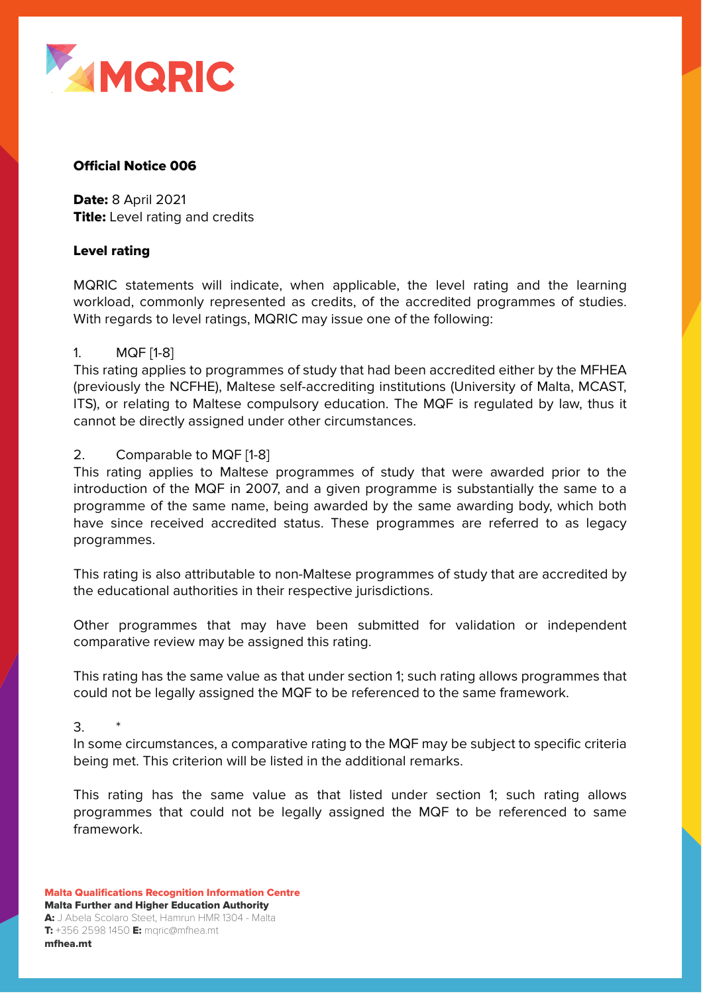

## **Official Notice 006**

Date: 8 April 2021 **Title:** Level rating and credits

#### Level rating

MQRIC statements will indicate, when applicable, the level rating and the learning workload, commonly represented as credits, of the accredited programmes of studies. With regards to level ratings, MQRIC may issue one of the following:

## 1. MQF [1-8]

This rating applies to programmes of study that had been accredited either by the MFHEA (previously the NCFHE), Maltese self-accrediting institutions (University of Malta, MCAST, ITS), or relating to Maltese compulsory education. The MQF is regulated by law, thus it cannot be directly assigned under other circumstances.

## 2. Comparable to MQF [1-8]

This rating applies to Maltese programmes of study that were awarded prior to the introduction of the MQF in 2007, and a given programme is substantially the same to a programme of the same name, being awarded by the same awarding body, which both have since received accredited status. These programmes are referred to as legacy programmes.

This rating is also attributable to non-Maltese programmes of study that are accredited by the educational authorities in their respective jurisdictions.

Other programmes that may have been submitted for validation or independent comparative review may be assigned this rating.

This rating has the same value as that under section 1; such rating allows programmes that could not be legally assigned the MQF to be referenced to the same framework.

 $3.$ 

In some circumstances, a comparative rating to the MQF may be subject to specific criteria being met. This criterion will be listed in the additional remarks.

This rating has the same value as that listed under section 1; such rating allows programmes that could not be legally assigned the MQF to be referenced to same framework.

Malta Qualifications Recognition Information Centre Malta Further and Higher Education Authority A: J Abela Scolaro Steet, Hamrun HMR 1304 - Malta  $T: +356 2598 1450$   $E:$  mqric@mfhea.mt

mfhea.mt